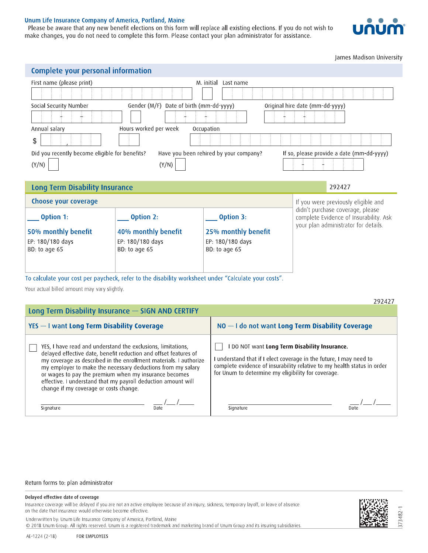## Unum Life Insurance Company of America, Portland, Maine

Please be aware that any new benefit elections on this form will replace all existing elections. If you do not wish to make changes, you do not need to complete this form. Please contact your plan administrator for assistance.



James Madison University

| Complete your personal information                                                                                                    |                                                                                                      |                                   |                                                                            |  |
|---------------------------------------------------------------------------------------------------------------------------------------|------------------------------------------------------------------------------------------------------|-----------------------------------|----------------------------------------------------------------------------|--|
| First name (please print)                                                                                                             | M. initial<br>Last name                                                                              |                                   |                                                                            |  |
|                                                                                                                                       |                                                                                                      |                                   |                                                                            |  |
| Social Security Number                                                                                                                | Gender (M/F) Date of birth (mm-dd-yyyy)<br>Original hire date (mm-dd-yyyy)                           |                                   |                                                                            |  |
|                                                                                                                                       |                                                                                                      |                                   |                                                                            |  |
| Hours worked per week<br>Annual salary<br>Occupation                                                                                  |                                                                                                      |                                   |                                                                            |  |
| \$                                                                                                                                    |                                                                                                      |                                   |                                                                            |  |
| Did you recently become eligible for benefits?<br>Have you been rehired by your company?<br>If so, please provide a date (mm-dd-yyyy) |                                                                                                      |                                   |                                                                            |  |
| (Y/N)                                                                                                                                 | (Y/N)                                                                                                |                                   |                                                                            |  |
|                                                                                                                                       |                                                                                                      |                                   |                                                                            |  |
|                                                                                                                                       |                                                                                                      |                                   |                                                                            |  |
| Long Term Disability Insurance                                                                                                        |                                                                                                      |                                   | 292427                                                                     |  |
| Choose your coverage                                                                                                                  |                                                                                                      |                                   | If you were previously eligible and                                        |  |
| Option 1:                                                                                                                             | Option 2:                                                                                            | Option 3:                         | didn't purchase coverage, please<br>complete Evidence of Insurability. Ask |  |
|                                                                                                                                       |                                                                                                      |                                   | your plan administrator for details.                                       |  |
| 50% monthly benefit                                                                                                                   | 40% monthly benefit                                                                                  | 25% monthly benefit               |                                                                            |  |
| EP: 180/180 days<br>BD: to age 65                                                                                                     | EP: 180/180 days<br>BD: to age 65                                                                    | EP: 180/180 days<br>BD: to age 65 |                                                                            |  |
|                                                                                                                                       |                                                                                                      |                                   |                                                                            |  |
|                                                                                                                                       |                                                                                                      |                                   |                                                                            |  |
|                                                                                                                                       |                                                                                                      |                                   |                                                                            |  |
| Your actual billed amount may vary slightly.                                                                                          | ."To calculate your cost per paycheck, refer to the disability worksheet under "Calculate your costs |                                   |                                                                            |  |

|                                                                                                                                                                                                                                                                                                                                                                                                                                          | 292427                                                                                                                                                                                                                                               |  |  |
|------------------------------------------------------------------------------------------------------------------------------------------------------------------------------------------------------------------------------------------------------------------------------------------------------------------------------------------------------------------------------------------------------------------------------------------|------------------------------------------------------------------------------------------------------------------------------------------------------------------------------------------------------------------------------------------------------|--|--|
| Long Term Disability Insurance - SIGN AND CERTIFY                                                                                                                                                                                                                                                                                                                                                                                        |                                                                                                                                                                                                                                                      |  |  |
| YES - I want Long Term Disability Coverage                                                                                                                                                                                                                                                                                                                                                                                               | $NO - I$ do not want Long Term Disability Coverage                                                                                                                                                                                                   |  |  |
| YES, I have read and understand the exclusions, limitations,<br>delayed effective date, benefit reduction and offset features of<br>my coverage as described in the enrollment materials. I authorize<br>my employer to make the necessary deductions from my salary<br>or wages to pay the premium when my insurance becomes<br>effective. I understand that my payroll deduction amount will<br>change if my coverage or costs change. | I DO NOT want Long Term Disability Insurance.<br>I understand that if I elect coverage in the future, I may need to<br>complete evidence of insurability relative to my health status in order<br>for Unum to determine my eligibility for coverage. |  |  |
| Signature<br>Date                                                                                                                                                                                                                                                                                                                                                                                                                        | Signature<br>Date                                                                                                                                                                                                                                    |  |  |

## Return forms to: plan administrator

## Delayed effective date of coverage

Insurance coverage will be delayed if you are not an active employee because of an injury, sickness, temporary layoff, or leave of absence on the date that insurance would otherwise become effective.

Underwritten by: Unum Life Insurance Company of America, Portland, Maine

@ 2018 Unum Group. All rights reserved. Unum is a registered trademark and marketing brand of Unum Group and its insuring subsidiaries.



373482-